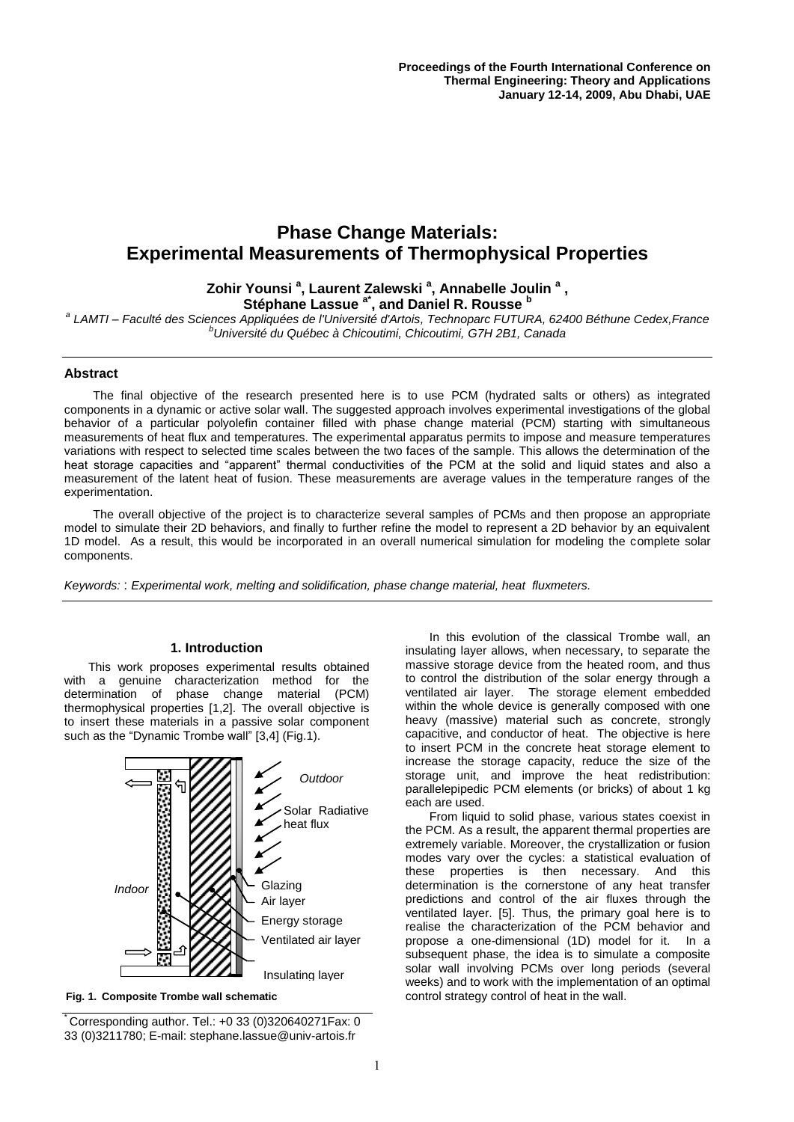# **Phase Change Materials: Experimental Measurements of Thermophysical Properties**

# **Zohir Younsi <sup>a</sup> , Laurent Zalewski <sup>a</sup> , Annabelle Joulin <sup>a</sup> ,**

**Stéphane Lassue a\* , and Daniel R. Rousse <sup>b</sup>** *a LAMTI – Faculté des Sciences Appliquées de l'Université d'Artois, Technoparc FUTURA, 62400 Béthune Cedex,France <sup>b</sup>Université du Québec à Chicoutimi, Chicoutimi, G7H 2B1, Canada*

### **Abstract**

The final objective of the research presented here is to use PCM (hydrated salts or others) as integrated components in a dynamic or active solar wall. The suggested approach involves experimental investigations of the global behavior of a particular polyolefin container filled with phase change material (PCM) starting with simultaneous measurements of heat flux and temperatures. The experimental apparatus permits to impose and measure temperatures variations with respect to selected time scales between the two faces of the sample. This allows the determination of the heat storage capacities and "apparent" thermal conductivities of the PCM at the solid and liquid states and also a measurement of the latent heat of fusion. These measurements are average values in the temperature ranges of the experimentation.

The overall objective of the project is to characterize several samples of PCMs and then propose an appropriate model to simulate their 2D behaviors, and finally to further refine the model to represent a 2D behavior by an equivalent 1D model. As a result, this would be incorporated in an overall numerical simulation for modeling the complete solar components.

*Keywords:* : *Experimental work, melting and solidification, phase change material, heat fluxmeters.*

#### **1. Introduction**

This work proposes experimental results obtained with a genuine characterization method for the determination of phase change material (PCM) thermophysical properties [1,2]. The overall objective is to insert these materials in a passive solar component such as the "Dynamic Trombe wall" [3,4] (Fig.1).



**Fig. 1. Composite Trombe wall schematic**

 $\big[$  Corresponding author. Tel.: +0 33 (0)320640271 Fax: 0 33 (0)3211780; E-mail: stephane.lassue@univ-artois.fr

In this evolution of the classical Trombe wall, an insulating layer allows, when necessary, to separate the massive storage device from the heated room, and thus to control the distribution of the solar energy through a ventilated air layer. The storage element embedded within the whole device is generally composed with one heavy (massive) material such as concrete, strongly capacitive, and conductor of heat. The objective is here to insert PCM in the concrete heat storage element to increase the storage capacity, reduce the size of the storage unit, and improve the heat redistribution: parallelepipedic PCM elements (or bricks) of about 1 kg each are used.

From liquid to solid phase, various states coexist in the PCM. As a result, the apparent thermal properties are extremely variable. Moreover, the crystallization or fusion modes vary over the cycles: a statistical evaluation of these properties is then necessary. And this determination is the cornerstone of any heat transfer predictions and control of the air fluxes through the ventilated layer. [5]. Thus, the primary goal here is to realise the characterization of the PCM behavior and propose a one-dimensional (1D) model for it. In a subsequent phase, the idea is to simulate a composite solar wall involving PCMs over long periods (several weeks) and to work with the implementation of an optimal control strategy control of heat in the wall.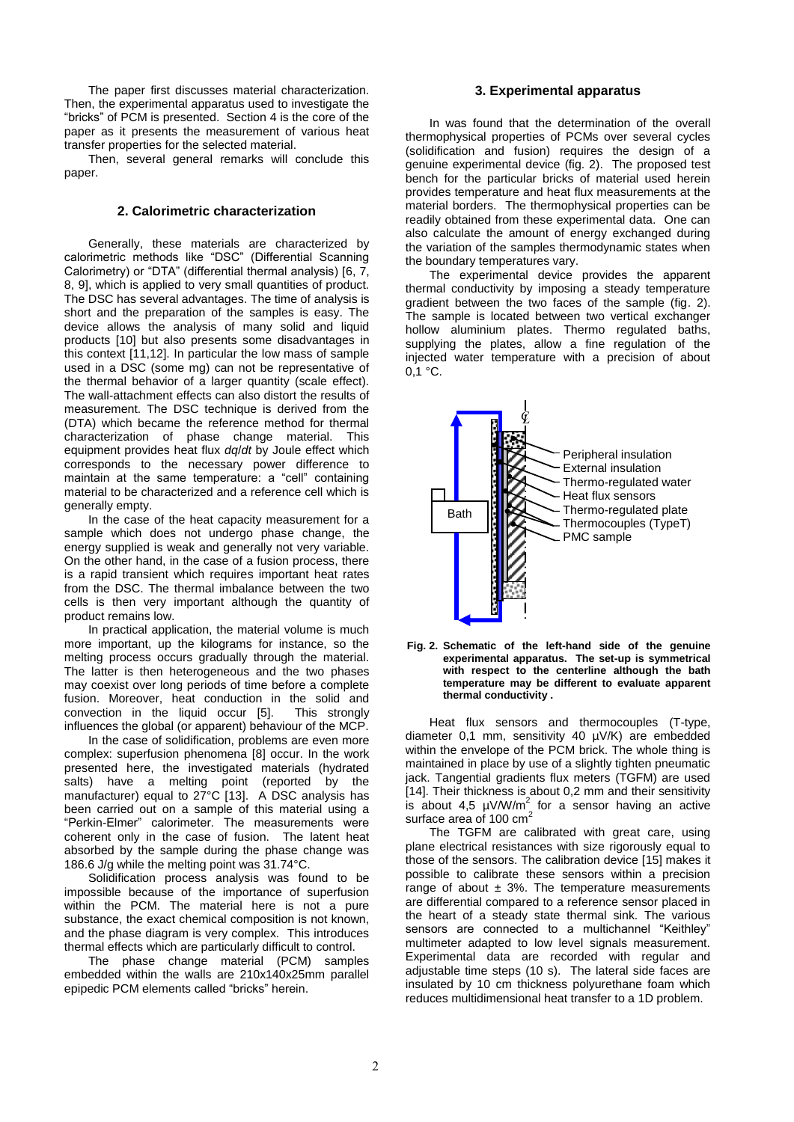The paper first discusses material characterization. Then, the experimental apparatus used to investigate the "bricks" of PCM is presented. Section 4 is the core of the paper as it presents the measurement of various heat transfer properties for the selected material.

Then, several general remarks will conclude this paper.

# **2. Calorimetric characterization**

Generally, these materials are characterized by calorimetric methods like "DSC" (Differential Scanning Calorimetry) or "DTA" (differential thermal analysis) [6, 7, 8, 9], which is applied to very small quantities of product. The DSC has several advantages. The time of analysis is short and the preparation of the samples is easy. The device allows the analysis of many solid and liquid products [10] but also presents some disadvantages in this context [11,12]. In particular the low mass of sample used in a DSC (some mg) can not be representative of the thermal behavior of a larger quantity (scale effect). The wall-attachment effects can also distort the results of measurement. The DSC technique is derived from the (DTA) which became the reference method for thermal characterization of phase change material. This equipment provides heat flux *dq*/*dt* by Joule effect which corresponds to the necessary power difference to maintain at the same temperature: a "cell" containing material to be characterized and a reference cell which is generally empty.

In the case of the heat capacity measurement for a sample which does not undergo phase change, the energy supplied is weak and generally not very variable. On the other hand, in the case of a fusion process, there is a rapid transient which requires important heat rates from the DSC. The thermal imbalance between the two cells is then very important although the quantity of product remains low.

In practical application, the material volume is much more important, up the kilograms for instance, so the melting process occurs gradually through the material. The latter is then heterogeneous and the two phases may coexist over long periods of time before a complete fusion. Moreover, heat conduction in the solid and convection in the liquid occur [5]. This strongly influences the global (or apparent) behaviour of the MCP.

In the case of solidification, problems are even more complex: superfusion phenomena [8] occur. In the work presented here, the investigated materials (hydrated salts) have a melting point (reported by the manufacturer) equal to 27°C [13]. A DSC analysis has been carried out on a sample of this material using a "Perkin-Elmer" calorimeter. The measurements were coherent only in the case of fusion. The latent heat absorbed by the sample during the phase change was 186.6 J/g while the melting point was 31.74°C.

Solidification process analysis was found to be impossible because of the importance of superfusion within the PCM. The material here is not a pure substance, the exact chemical composition is not known, and the phase diagram is very complex. This introduces thermal effects which are particularly difficult to control.

The phase change material (PCM) samples embedded within the walls are 210x140x25mm parallel epipedic PCM elements called "bricks" herein.

#### **3. Experimental apparatus**

In was found that the determination of the overall thermophysical properties of PCMs over several cycles (solidification and fusion) requires the design of a genuine experimental device (fig. 2). The proposed test bench for the particular bricks of material used herein provides temperature and heat flux measurements at the material borders. The thermophysical properties can be readily obtained from these experimental data. One can also calculate the amount of energy exchanged during the variation of the samples thermodynamic states when the boundary temperatures vary.

The experimental device provides the apparent thermal conductivity by imposing a steady temperature gradient between the two faces of the sample (fig. 2). The sample is located between two vertical exchanger hollow aluminium plates. Thermo regulated baths, supplying the plates, allow a fine regulation of the injected water temperature with a precision of about  $0.1 °C$ .





Heat flux sensors and thermocouples (T-type, diameter 0,1 mm, sensitivity 40 µV/K) are embedded within the envelope of the PCM brick. The whole thing is maintained in place by use of a slightly tighten pneumatic jack. Tangential gradients flux meters (TGFM) are used [14]. Their thickness is about 0,2 mm and their sensitivity is about 4,5  $\mu$ V/W/m<sup>2</sup> for a sensor having an active surface area of 100 cm<sup>2</sup>

The TGFM are calibrated with great care, using plane electrical resistances with size rigorously equal to those of the sensors. The calibration device [15] makes it possible to calibrate these sensors within a precision range of about  $\pm$  3%. The temperature measurements are differential compared to a reference sensor placed in the heart of a steady state thermal sink. The various sensors are connected to a multichannel "Keithley" multimeter adapted to low level signals measurement. Experimental data are recorded with regular and adjustable time steps (10 s). The lateral side faces are insulated by 10 cm thickness polyurethane foam which reduces multidimensional heat transfer to a 1D problem.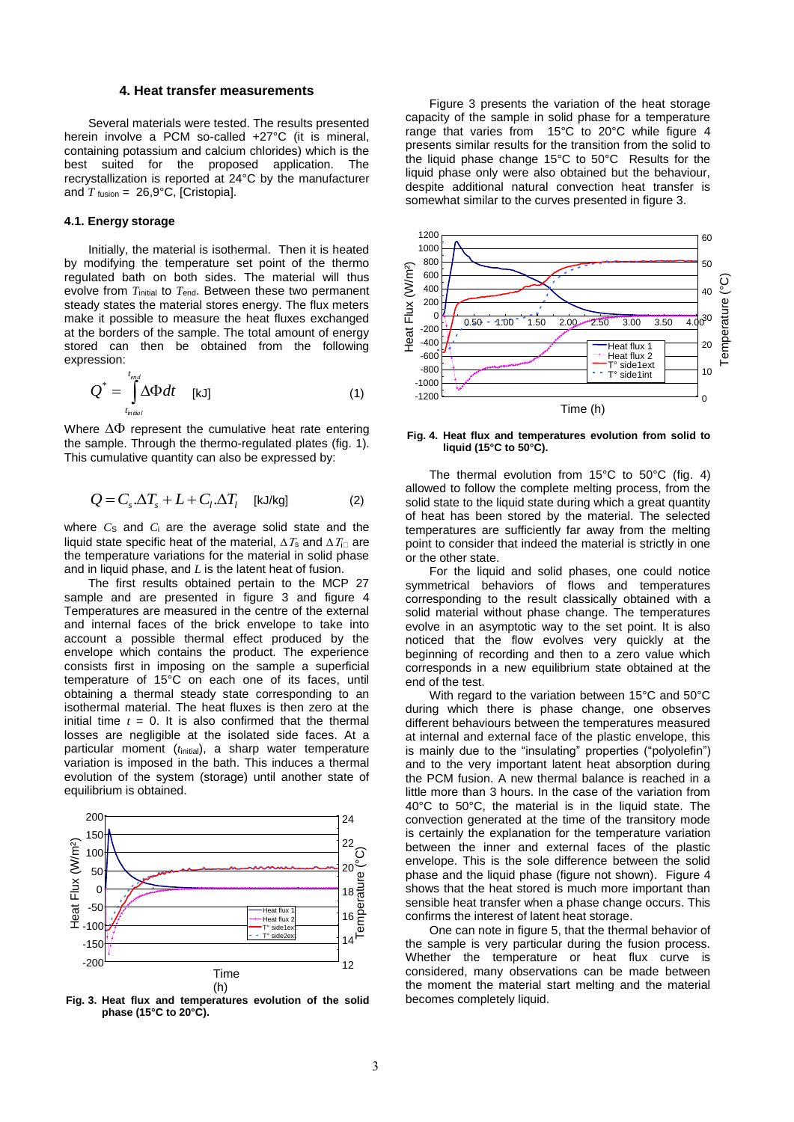#### **4. Heat transfer measurements**

Several materials were tested. The results presented herein involve a PCM so-called +27°C (it is mineral, containing potassium and calcium chlorides) which is the best suited for the proposed application. The recrystallization is reported at 24°C by the manufacturer and  $T_{\text{fusion}} = 26.9$ °C, [Cristopia].

#### **4.1. Energy storage**

Initially, the material is isothermal. Then it is heated by modifying the temperature set point of the thermo regulated bath on both sides. The material will thus evolve from *T*<sub>initial</sub> to *T*<sub>end</sub>. Between these two permanent steady states the material stores energy. The flux meters make it possible to measure the heat fluxes exchanged at the borders of the sample. The total amount of energy stored can then be obtained from the following expression:

$$
Q^* = \int_{t_{initial}}^{t_{end}} \Delta \Phi dt \quad [\text{kJ}] \tag{1}
$$

Where  $\Delta\Phi$  represent the cumulative heat rate entering the sample. Through the thermo-regulated plates (fig. 1). This cumulative quantity can also be expressed by:

$$
Q = C_s \Delta T_s + L + C_l \Delta T_l \quad \text{[kJ/kg]} \tag{2}
$$

where  $C_S$  and  $C_i$  are the average solid state and the liquid state specific heat of the material,  $\Delta T_s$  and  $\Delta T_{\text{in}}$  are the temperature variations for the material in solid phase and in liquid phase, and *L* is the latent heat of fusion.

The first results obtained pertain to the MCP 27 sample and are presented in figure 3 and figure 4 Temperatures are measured in the centre of the external and internal faces of the brick envelope to take into account a possible thermal effect produced by the envelope which contains the product. The experience consists first in imposing on the sample a superficial temperature of 15°C on each one of its faces, until obtaining a thermal steady state corresponding to an isothermal material. The heat fluxes is then zero at the initial time  $t = 0$ . It is also confirmed that the thermal losses are negligible at the isolated side faces. At a particular moment (t<sub>initial</sub>), a sharp water temperature variation is imposed in the bath. This induces a thermal evolution of the system (storage) until another state of equilibrium is obtained.



**Fig. 3. Heat flux and temperatures evolution of the solid phase (15°C to 20°C).**

Figure 3 presents the variation of the heat storage capacity of the sample in solid phase for a temperature range that varies from 15°C to 20°C while figure 4 presents similar results for the transition from the solid to the liquid phase change 15°C to 50°C Results for the liquid phase only were also obtained but the behaviour, despite additional natural convection heat transfer is somewhat similar to the curves presented in figure 3.



**Fig. 4. Heat flux and temperatures evolution from solid to liquid (15°C to 50°C).**

The thermal evolution from 15°C to 50°C (fig. 4) allowed to follow the complete melting process, from the solid state to the liquid state during which a great quantity of heat has been stored by the material. The selected temperatures are sufficiently far away from the melting point to consider that indeed the material is strictly in one or the other state.

For the liquid and solid phases, one could notice symmetrical behaviors of flows and temperatures corresponding to the result classically obtained with a solid material without phase change. The temperatures evolve in an asymptotic way to the set point. It is also noticed that the flow evolves very quickly at the beginning of recording and then to a zero value which corresponds in a new equilibrium state obtained at the end of the test.

With regard to the variation between 15°C and 50°C during which there is phase change, one observes different behaviours between the temperatures measured at internal and external face of the plastic envelope, this is mainly due to the "insulating" properties ("polyolefin") and to the very important latent heat absorption during the PCM fusion. A new thermal balance is reached in a little more than 3 hours. In the case of the variation from 40°C to 50°C, the material is in the liquid state. The convection generated at the time of the transitory mode is certainly the explanation for the temperature variation between the inner and external faces of the plastic envelope. This is the sole difference between the solid phase and the liquid phase (figure not shown). Figure 4 shows that the heat stored is much more important than sensible heat transfer when a phase change occurs. This confirms the interest of latent heat storage.

One can note in figure 5, that the thermal behavior of the sample is very particular during the fusion process. Whether the temperature or heat flux curve is considered, many observations can be made between the moment the material start melting and the material becomes completely liquid.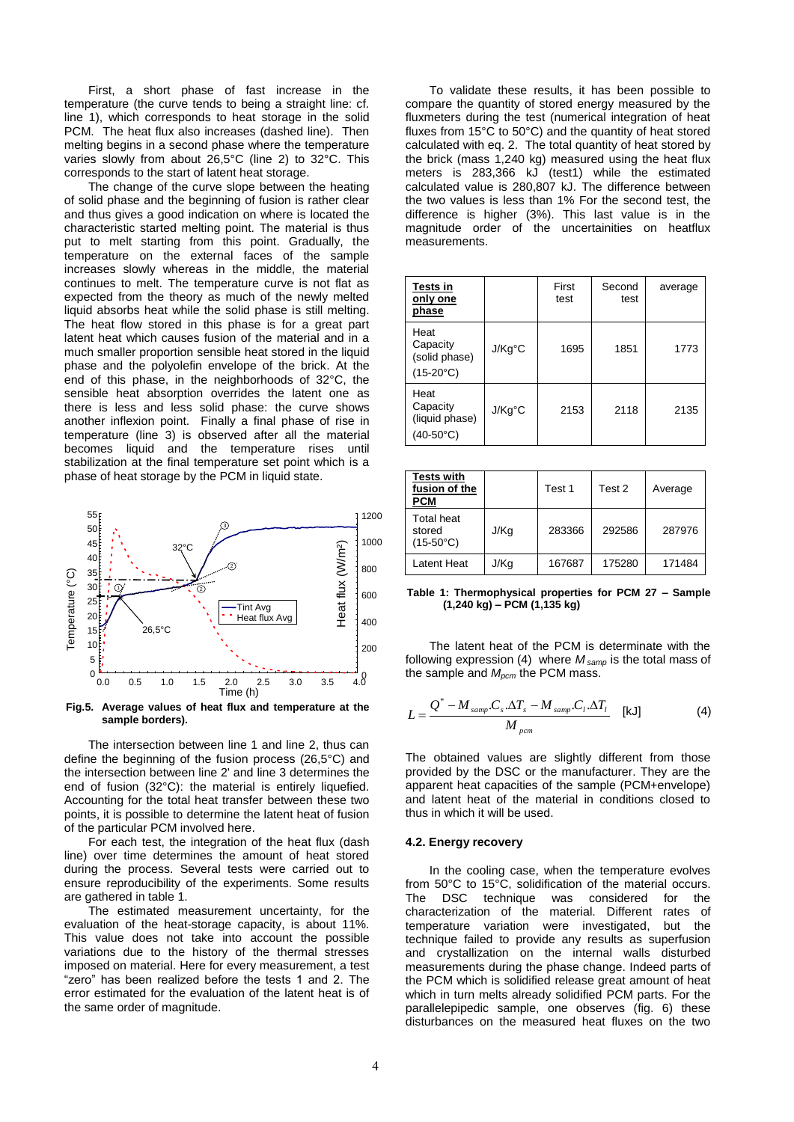First, a short phase of fast increase in the temperature (the curve tends to being a straight line: cf. line 1), which corresponds to heat storage in the solid PCM. The heat flux also increases (dashed line). Then melting begins in a second phase where the temperature varies slowly from about 26,5°C (line 2) to 32°C. This corresponds to the start of latent heat storage.

The change of the curve slope between the heating of solid phase and the beginning of fusion is rather clear and thus gives a good indication on where is located the characteristic started melting point. The material is thus put to melt starting from this point. Gradually, the temperature on the external faces of the sample increases slowly whereas in the middle, the material continues to melt. The temperature curve is not flat as expected from the theory as much of the newly melted liquid absorbs heat while the solid phase is still melting. The heat flow stored in this phase is for a great part latent heat which causes fusion of the material and in a much smaller proportion sensible heat stored in the liquid phase and the polyolefin envelope of the brick. At the end of this phase, in the neighborhoods of 32°C, the sensible heat absorption overrides the latent one as there is less and less solid phase: the curve shows another inflexion point. Finally a final phase of rise in temperature (line 3) is observed after all the material becomes liquid and the temperature rises until stabilization at the final temperature set point which is a phase of heat storage by the PCM in liquid state.



**Fig.5. Average values of heat flux and temperature at the sample borders).**

The intersection between line 1 and line 2, thus can define the beginning of the fusion process (26,5°C) and the intersection between line 2' and line 3 determines the end of fusion (32°C): the material is entirely liquefied. Accounting for the total heat transfer between these two points, it is possible to determine the latent heat of fusion of the particular PCM involved here.

For each test, the integration of the heat flux (dash line) over time determines the amount of heat stored during the process. Several tests were carried out to ensure reproducibility of the experiments. Some results are gathered in table 1.

The estimated measurement uncertainty, for the evaluation of the heat-storage capacity, is about 11%. This value does not take into account the possible variations due to the history of the thermal stresses imposed on material. Here for every measurement, a test "zero" has been realized before the tests 1 and 2. The error estimated for the evaluation of the latent heat is of the same order of magnitude.

To validate these results, it has been possible to compare the quantity of stored energy measured by the fluxmeters during the test (numerical integration of heat fluxes from 15°C to 50°C) and the quantity of heat stored calculated with eq. 2. The total quantity of heat stored by the brick (mass 1,240 kg) measured using the heat flux meters is 283,366 kJ (test1) while the estimated calculated value is 280,807 kJ. The difference between the two values is less than 1% For the second test, the difference is higher (3%). This last value is in the magnitude order of the uncertainities on heatflux measurements.

| <b>Tests in</b><br>only one<br>phase                     |        | First<br>test | Second<br>test | average |
|----------------------------------------------------------|--------|---------------|----------------|---------|
| Heat<br>Capacity<br>(solid phase)<br>$(15-20^{\circ}C)$  | J/Kg°C | 1695          | 1851           | 1773    |
| Heat<br>Capacity<br>(liquid phase)<br>$(40-50^{\circ}C)$ | J/Kg°C | 2153          | 2118           | 2135    |

| <b>Tests with</b><br>fusion of the<br><b>PCM</b>  |      | Test 1 | Test 2 | Average |
|---------------------------------------------------|------|--------|--------|---------|
| <b>Total heat</b><br>stored<br>$(15-50^{\circ}C)$ | J/Kg | 283366 | 292586 | 287976  |
| Latent Heat                                       | J/Kg | 167687 | 175280 | 171484  |

**Table 1: Thermophysical properties for PCM 27 – Sample (1,240 kg) – PCM (1,135 kg)**

The latent heat of the PCM is determinate with the following expression (4) where *M samp* is the total mass of the sample and *Mpcm* the PCM mass.

$$
L = \frac{Q^* - M_{\text{ samp}}.C_s.\Delta T_s - M_{\text{ samp}}.C_l.\Delta T_l}{M_{\text{ pcm}}} \quad \text{[kJ]} \tag{4}
$$

 The obtained values are slightly different from those provided by the DSC or the manufacturer. They are the apparent heat capacities of the sample (PCM+envelope) and latent heat of the material in conditions closed to thus in which it will be used.

#### **4.2. Energy recovery**

In the cooling case, when the temperature evolves from 50°C to 15°C, solidification of the material occurs. The DSC technique was considered for the characterization of the material. Different rates of temperature variation were investigated, but the technique failed to provide any results as superfusion and crystallization on the internal walls disturbed measurements during the phase change. Indeed parts of the PCM which is solidified release great amount of heat which in turn melts already solidified PCM parts. For the parallelepipedic sample, one observes (fig. 6) these disturbances on the measured heat fluxes on the two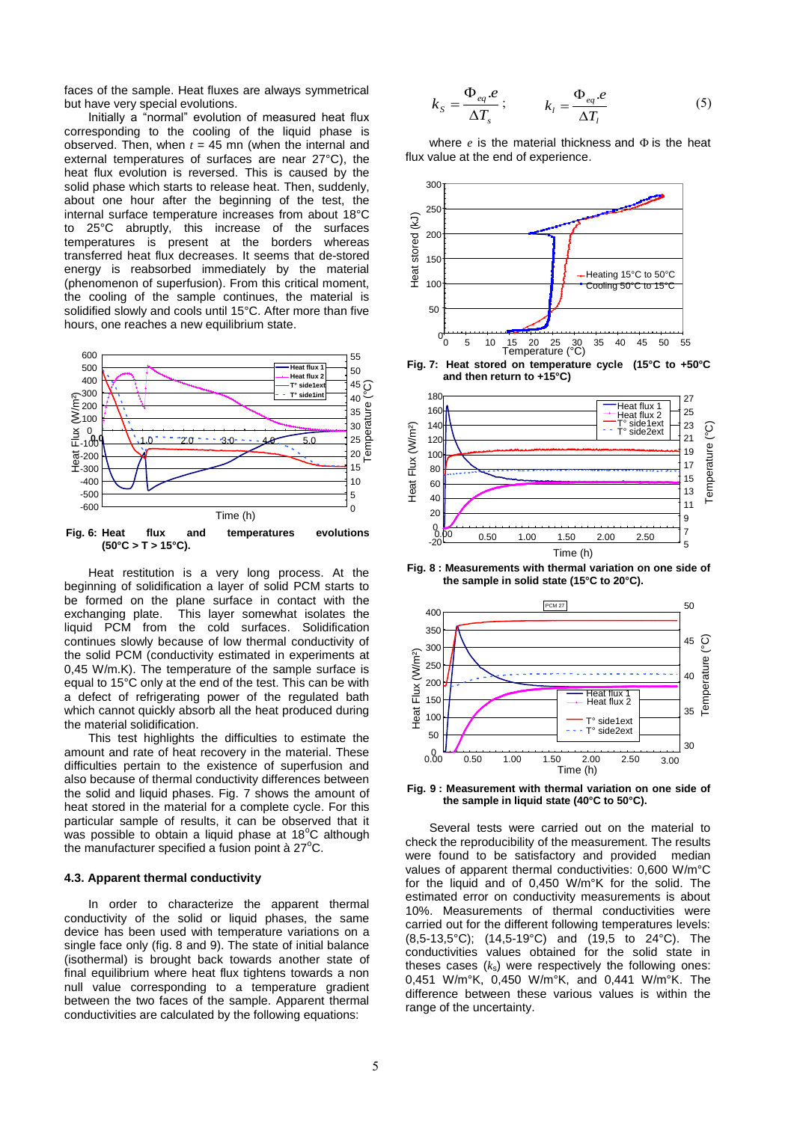faces of the sample. Heat fluxes are always symmetrical but have very special evolutions.

Initially a "normal" evolution of measured heat flux corresponding to the cooling of the liquid phase is observed. Then, when  $t = 45$  mn (when the internal and external temperatures of surfaces are near 27°C), the heat flux evolution is reversed. This is caused by the solid phase which starts to release heat. Then, suddenly, about one hour after the beginning of the test, the internal surface temperature increases from about 18°C to 25°C abruptly, this increase of the surfaces temperatures is present at the borders whereas transferred heat flux decreases. It seems that de-stored energy is reabsorbed immediately by the material (phenomenon of superfusion). From this critical moment, the cooling of the sample continues, the material is solidified slowly and cools until 15°C. After more than five hours, one reaches a new equilibrium state.



Heat restitution is a very long process. At the beginning of solidification a layer of solid PCM starts to be formed on the plane surface in contact with the exchanging plate. This layer somewhat isolates the This layer somewhat isolates the liquid PCM from the cold surfaces. Solidification continues slowly because of low thermal conductivity of the solid PCM (conductivity estimated in experiments at 0,45 W/m.K). The temperature of the sample surface is equal to 15°C only at the end of the test. This can be with a defect of refrigerating power of the regulated bath which cannot quickly absorb all the heat produced during the material solidification.

This test highlights the difficulties to estimate the amount and rate of heat recovery in the material. These difficulties pertain to the existence of superfusion and also because of thermal conductivity differences between the solid and liquid phases. Fig. 7 shows the amount of heat stored in the material for a complete cycle. For this particular sample of results, it can be observed that it was possible to obtain a liquid phase at  $18^{\circ}$ C although the manufacturer specified a fusion point à  $27^{\circ}$ C.

#### **4.3. Apparent thermal conductivity**

In order to characterize the apparent thermal conductivity of the solid or liquid phases, the same device has been used with temperature variations on a single face only (fig. 8 and 9). The state of initial balance (isothermal) is brought back towards another state of final equilibrium where heat flux tightens towards a non null value corresponding to a temperature gradient between the two faces of the sample. Apparent thermal conductivities are calculated by the following equations:

$$
k_{S} = \frac{\Phi_{eq} \cdot e}{\Delta T_{s}}; \qquad k_{l} = \frac{\Phi_{eq} \cdot e}{\Delta T_{l}} \tag{5}
$$

where  $e$  is the material thickness and  $\Phi$  is the heat flux value at the end of experience.





**Fig. 8 : Measurements with thermal variation on one side of the sample in solid state (15°C to 20°C).**



**Fig. 9 : Measurement with thermal variation on one side of the sample in liquid state (40°C to 50°C).**

Several tests were carried out on the material to check the reproducibility of the measurement. The results were found to be satisfactory and provided median values of apparent thermal conductivities: 0,600 W/m°C for the liquid and of 0,450 W/m°K for the solid. The estimated error on conductivity measurements is about 10%. Measurements of thermal conductivities were carried out for the different following temperatures levels: (8,5-13,5°C); (14,5-19°C) and (19,5 to 24°C). The conductivities values obtained for the solid state in theses cases (*k*s) were respectively the following ones: 0,451 W/m°K, 0,450 W/m°K, and 0,441 W/m°K. The difference between these various values is within the range of the uncertainty.